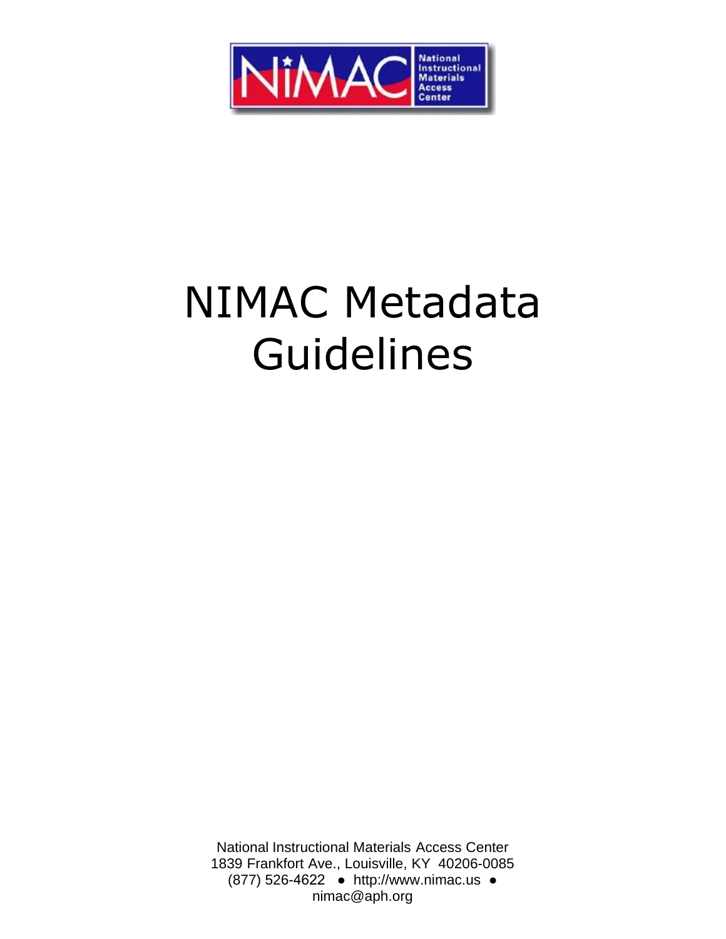

# NIMAC Metadata Guidelines

<span id="page-0-0"></span>National Instructional Materials Access Center 1839 Frankfort Ave., Louisville, KY 402[06-0085](mailto:NIMAC@aph.org)  (877) 526-4[622 ● http://www](http://www.nimac.us/).nimac.us ● nimac@aph.org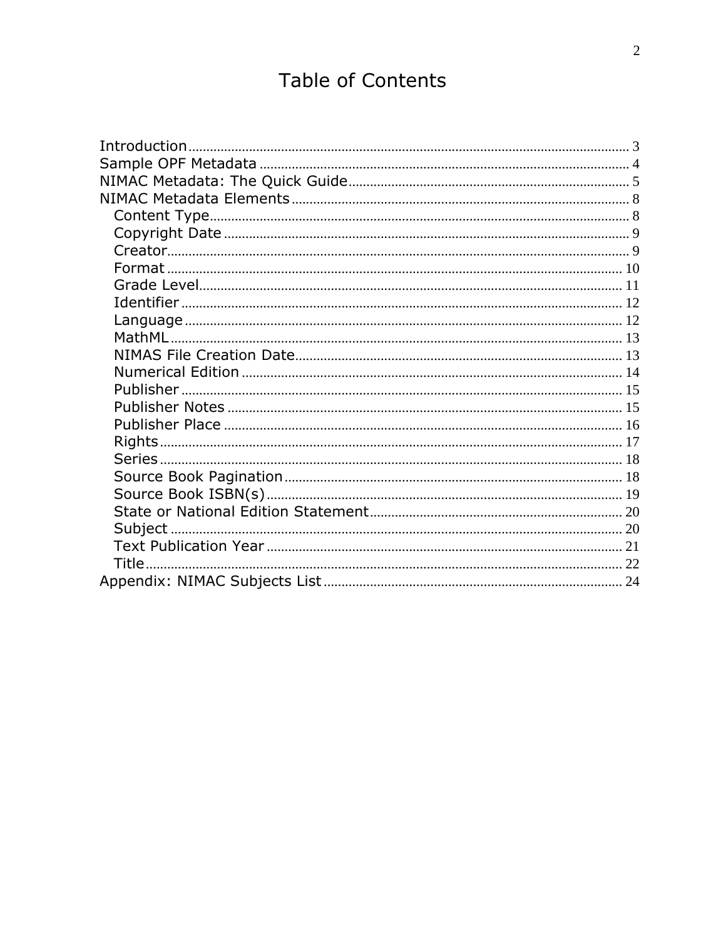# **Table of Contents**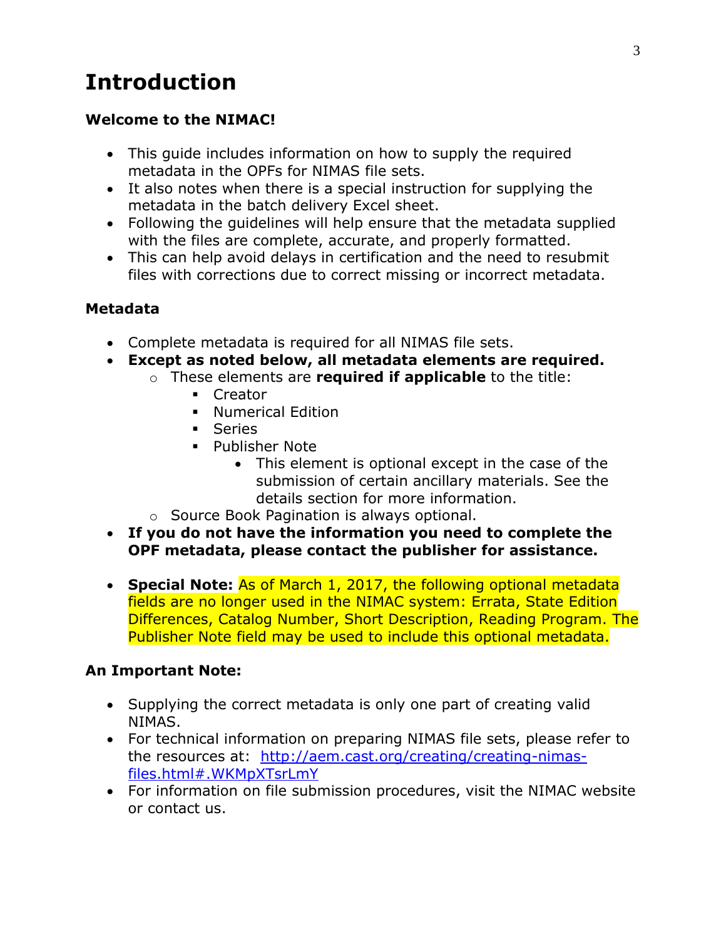# <span id="page-2-0"></span>**Introduction**

#### **Welcome to the NIMAC!**

- This guide includes information on how to supply the required metadata in the OPFs for NIMAS file sets.
- It also notes when there is a special instruction for supplying the metadata in the batch delivery Excel sheet.
- Following the guidelines will help ensure that the metadata supplied with the files are complete, accurate, and properly formatted.
- This can help avoid delays in certification and the need to resubmit files with corrections due to correct missing or incorrect metadata.

#### **Metadata**

- Complete metadata is required for all NIMAS file sets.
- **Except as noted below, all metadata elements are required.**
	- o These elements are **required if applicable** to the title:
		- **Creator**
		- **Numerical Edition**
		- **Series**
		- **Publisher Note** 
			- This element is optional except in the case of the submission of certain ancillary materials. See the details section for more information.
		- o Source Book Pagination is always optional.
- **If you do not have the information you need to complete the OPF metadata, please contact the publisher for assistance.**
- **Special Note:** As of March 1, 2017, the following optional metadata fields are no longer used in the NIMAC system: Errata, State Edition Differences, Catalog Number, Short Description, Reading Program. The Publisher Note field may be used to include this optional metadata.

#### **An Important Note:**

- Supplying the correct metadata is only one part of creating valid NIMAS.
- For technical information on preparing NIMAS file sets, please refer to the resources at: [http://aem.cast.org/creating/creating-nimas](http://aem.cast.org/creating/creating-nimas-files.html#.WKMpXTsrLmY)[files.html#.WKMpXTsrLmY](http://aem.cast.org/creating/creating-nimas-files.html#.WKMpXTsrLmY)
- For information on file submission procedures, visit the NIMAC website or contact us.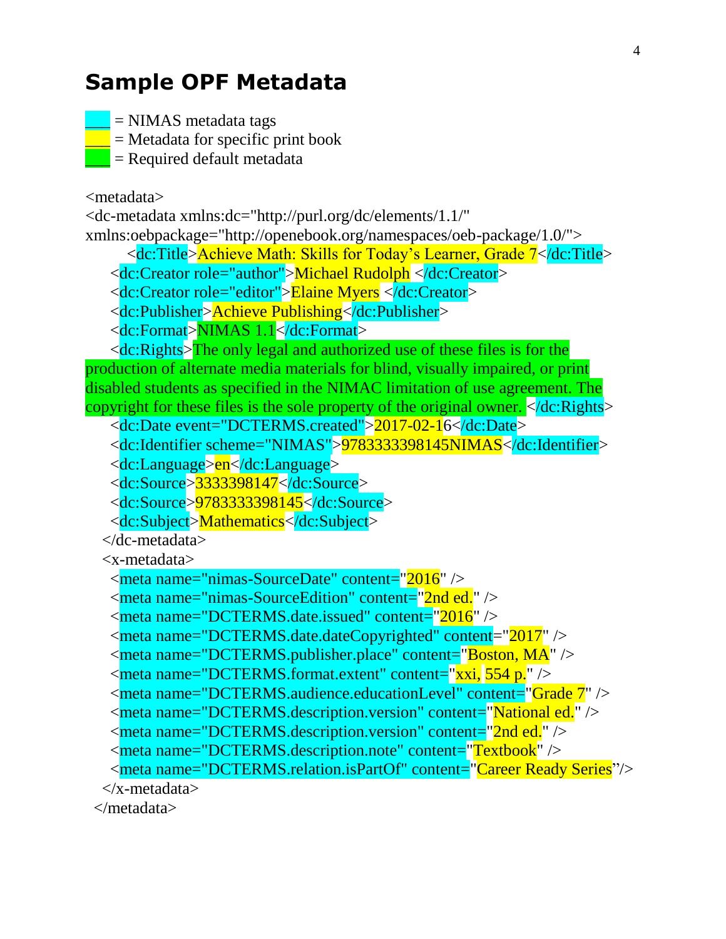# <span id="page-3-0"></span>**Sample OPF Metadata**

 $=$  NIMAS metadata tags

 $=$  Metadata for specific print book

 $=$  Required default metadata

<metadata>

<dc-metadata xmlns:dc="http://purl.org/dc/elements/1.1/" xmlns:oebpackage="http://openebook.org/namespaces/oeb-package/1.0/">

<dc:Title>Achieve Math: Skills for Today's Learner, Grade 7</dc:Title>

<dc:Creator role="author">Michael Rudolph </dc:Creator>

<dc:Creator role="editor">Elaine Myers </dc:Creator>

<dc:Publisher>Achieve Publishing</dc:Publisher>

<dc:Format>NIMAS 1.1</dc:Format>

 $\langle$ dc:Rights $\rangle$ The only legal and authorized use of these files is for the production of alternate media materials for blind, visually impaired, or print disabled students as specified in the NIMAC limitation of use agreement. The copyright for these files is the sole property of the original owner. </dc:Rights>

<dc:Date event="DCTERMS.created">2017-02-16</dc:Date>

<dc:Identifier scheme="NIMAS">9783333398145NIMAS</dc:Identifier>

<dc:Language>en</dc:Language>

<dc:Source>3333398147</dc:Source>

<dc:Source>9783333398145</dc:Source>

<dc:Subject>Mathematics</dc:Subject>

</dc-metadata>

<x-metadata>

```
 <meta name="nimas-SourceDate" content="2016" />
```
 $\alpha$  <meta name="nimas-SourceEdition" content="2nd ed."  $\beta$ 

```
\epsilon meta name="DCTERMS.date.issued" content="2016" />
```
<meta name="DCTERMS.date.dateCopyrighted" content="2017" />

<meta name="DCTERMS.publisher.place" content="Boston, MA" />

<meta name="DCTERMS.format.extent" content="xxi, 554 p." />

<meta name="DCTERMS.audience.educationLevel" content="Grade 7" />

<meta name="DCTERMS.description.version" content="National ed." />

<meta name="DCTERMS.description.version" content="2nd ed." />

<meta name="DCTERMS.description.note" content="Textbook" />

<meta name="DCTERMS.relation.isPartOf" content="Career Ready Series"/>

</x-metadata>

</metadata>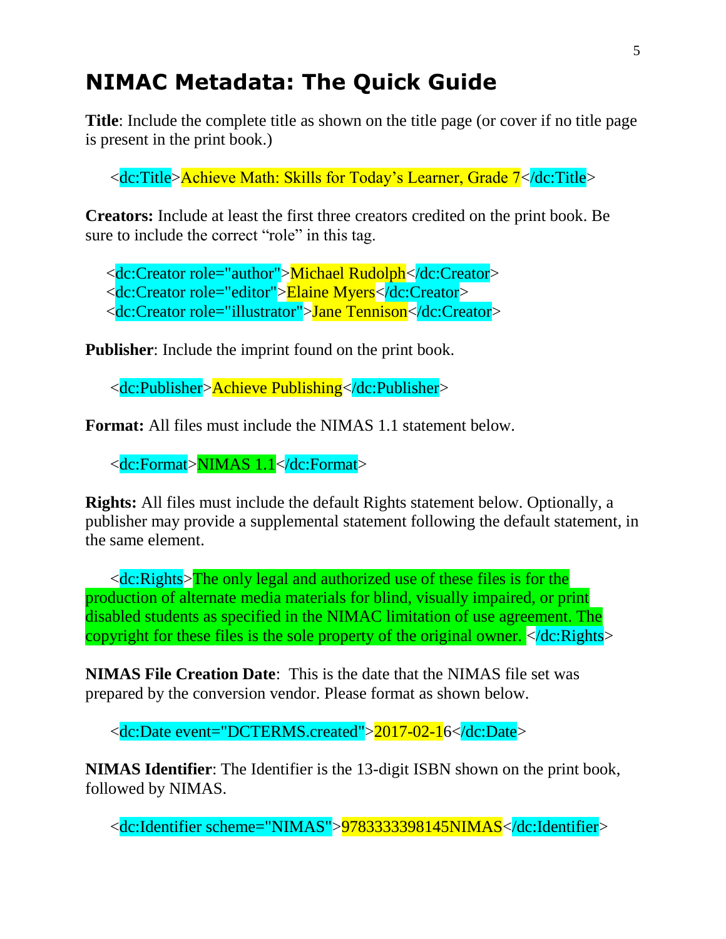# <span id="page-4-0"></span>**NIMAC Metadata: The Quick Guide**

**Title**: Include the complete title as shown on the title page (or cover if no title page is present in the print book.)

<dc:Title>Achieve Math: Skills for Today's Learner, Grade 7</dc:Title>

**Creators:** Include at least the first three creators credited on the print book. Be sure to include the correct "role" in this tag.

<dc:Creator role="author">Michael Rudolph</dc:Creator>

<dc:Creator role="editor">Elaine Myers</dc:Creator>

<dc:Creator role="illustrator">Jane Tennison</dc:Creator>

**Publisher**: Include the imprint found on the print book.

<dc:Publisher>Achieve Publishing</dc:Publisher>

**Format:** All files must include the NIMAS 1.1 statement below.

<dc:Format>NIMAS 1.1</dc:Format>

**Rights:** All files must include the default Rights statement below. Optionally, a publisher may provide a supplemental statement following the default statement, in the same element.

 $\langle$ dc:Rights $\rangle$ The only legal and authorized use of these files is for the production of alternate media materials for blind, visually impaired, or print disabled students as specified in the NIMAC limitation of use agreement. The copyright for these files is the sole property of the original owner.  $\langle \cdot \rangle$  dc: Rights

**NIMAS File Creation Date**: This is the date that the NIMAS file set was prepared by the conversion vendor. Please format as shown below.

<dc:Date event="DCTERMS.created">2017-02-16</dc:Date>

**NIMAS Identifier**: The Identifier is the 13-digit ISBN shown on the print book, followed by NIMAS.

<dc:Identifier scheme="NIMAS">9783333398145NIMAS</dc:Identifier>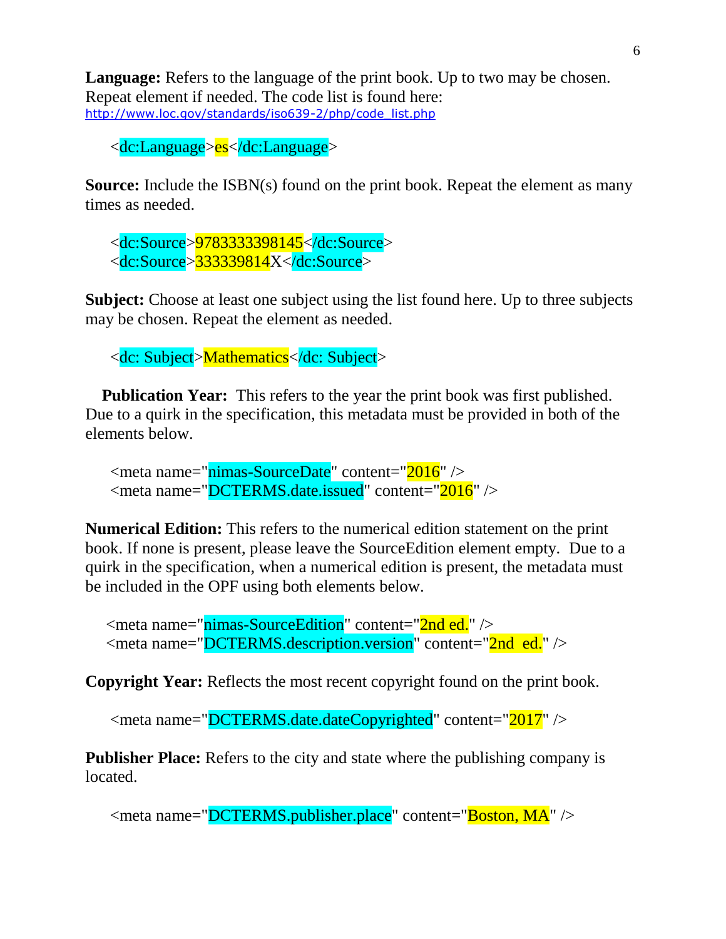**Language:** Refers to the language of the print book. Up to two may be chosen. Repeat element if needed. The code list is found here: [http://www.loc.gov/standards/iso639-2/php/code\\_list.php](http://www.loc.gov/standards/iso639-2/php/code_list.php)

<dc:Language>es</dc:Language>

**Source:** Include the ISBN(s) found on the print book. Repeat the element as many times as needed.

 <dc:Source>9783333398145</dc:Source> <dc:Source>333339814X</dc:Source>

**Subject:** Choose at least one subject using the list found here. Up to three subjects may be chosen. Repeat the element as needed.

<dc: Subject>Mathematics</dc: Subject>

**Publication Year:** This refers to the year the print book was first published. Due to a quirk in the specification, this metadata must be provided in both of the elements below.

```
 <meta name="nimas-SourceDate" content="2016" />
 <meta name="DCTERMS.date.issued" content="2016" />
```
**Numerical Edition:** This refers to the numerical edition statement on the print book. If none is present, please leave the SourceEdition element empty. Due to a quirk in the specification, when a numerical edition is present, the metadata must be included in the OPF using both elements below.

<meta name="nimas-SourceEdition" content="2nd ed." /> <meta name="DCTERMS.description.version" content="2nd ed." />

**Copyright Year:** Reflects the most recent copyright found on the print book.

<meta name="DCTERMS.date.dateCopyrighted" content="2017" />

**Publisher Place:** Refers to the city and state where the publishing company is located.

<meta name="DCTERMS.publisher.place" content="Boston, MA" />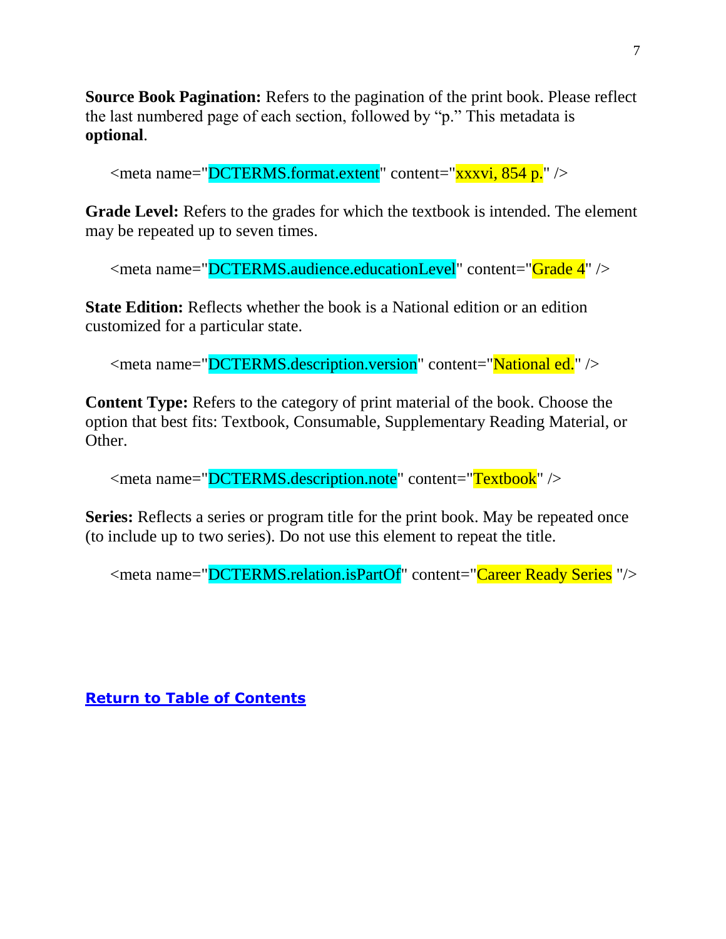**Source Book Pagination:** Refers to the pagination of the print book. Please reflect the last numbered page of each section, followed by "p." This metadata is **optional**.

<meta name="DCTERMS.format.extent" content="xxxvi, 854 p." />

**Grade Level:** Refers to the grades for which the textbook is intended. The element may be repeated up to seven times.

<meta name="DCTERMS.audience.educationLevel" content="Grade 4" />

**State Edition:** Reflects whether the book is a National edition or an edition customized for a particular state.

<meta name="DCTERMS.description.version" content="National ed." />

**Content Type:** Refers to the category of print material of the book. Choose the option that best fits: Textbook, Consumable, Supplementary Reading Material, or Other.

<meta name="DCTERMS.description.note" content="Textbook" />

**Series:** Reflects a series or program title for the print book. May be repeated once (to include up to two series). Do not use this element to repeat the title.

<meta name="DCTERMS.relation.isPartOf" content="Career Ready Series "/>

**[Return to Table of Contents](#page-0-0)**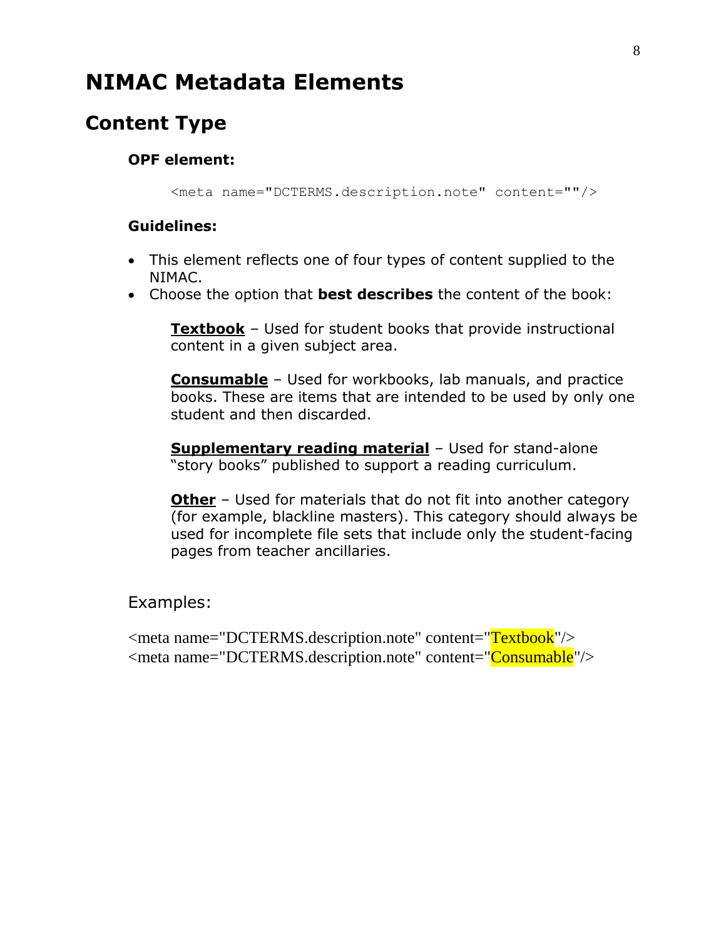# <span id="page-7-0"></span>**NIMAC Metadata Elements**

# <span id="page-7-1"></span>**Content Type**

#### **OPF element:**

<meta name="DCTERMS.description.note" content=""/>

#### **Guidelines:**

- This element reflects one of four types of content supplied to the NIMAC.
- Choose the option that **best describes** the content of the book:

**Textbook** – Used for student books that provide instructional content in a given subject area.

**Consumable** – Used for workbooks, lab manuals, and practice books. These are items that are intended to be used by only one student and then discarded.

**Supplementary reading material** – Used for stand-alone "story books" published to support a reading curriculum.

**Other** – Used for materials that do not fit into another category (for example, blackline masters). This category should always be used for incomplete file sets that include only the student-facing pages from teacher ancillaries.

Examples:

<meta name="DCTERMS.description.note" content="Textbook"/> <meta name="DCTERMS.description.note" content="Consumable"/>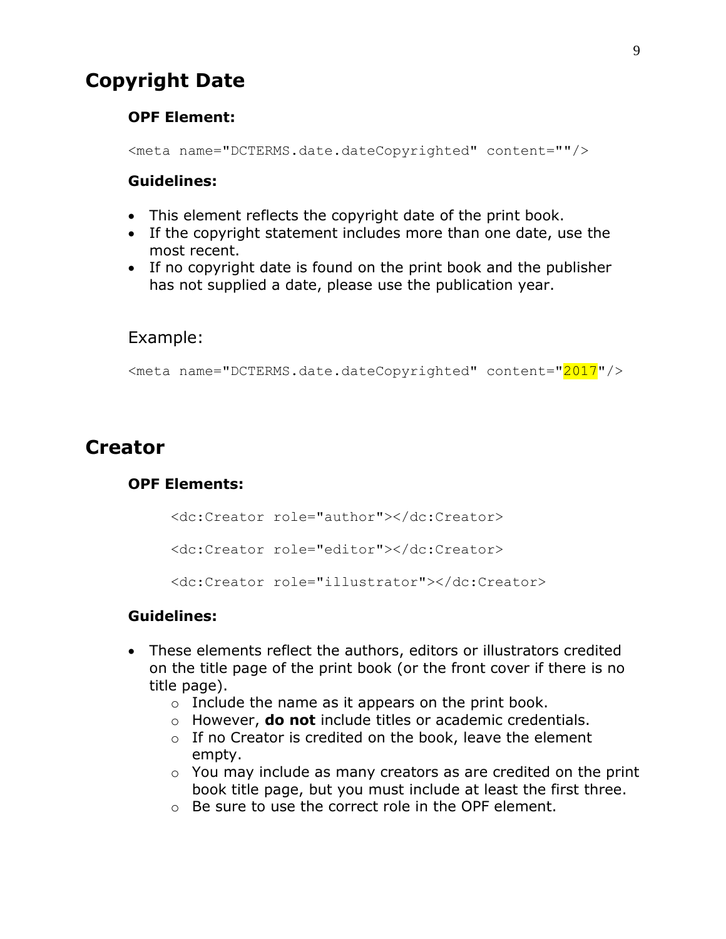# <span id="page-8-0"></span>**Copyright Date**

#### **OPF Element:**

<meta name="DCTERMS.date.dateCopyrighted" content=""/>

#### **Guidelines:**

- This element reflects the copyright date of the print book.
- If the copyright statement includes more than one date, use the most recent.
- If no copyright date is found on the print book and the publisher has not supplied a date, please use the publication year.

#### Example:

<meta name="DCTERMS.date.dateCopyrighted" content="2017"/>

# <span id="page-8-1"></span>**Creator**

#### **OPF Elements:**

<dc:Creator role="author"></dc:Creator> <dc:Creator role="editor"></dc:Creator> <dc:Creator role="illustrator"></dc:Creator>

- These elements reflect the authors, editors or illustrators credited on the title page of the print book (or the front cover if there is no title page).
	- $\circ$  Include the name as it appears on the print book.
	- o However, **do not** include titles or academic credentials.
	- o If no Creator is credited on the book, leave the element empty.
	- o You may include as many creators as are credited on the print book title page, but you must include at least the first three.
	- o Be sure to use the correct role in the OPF element.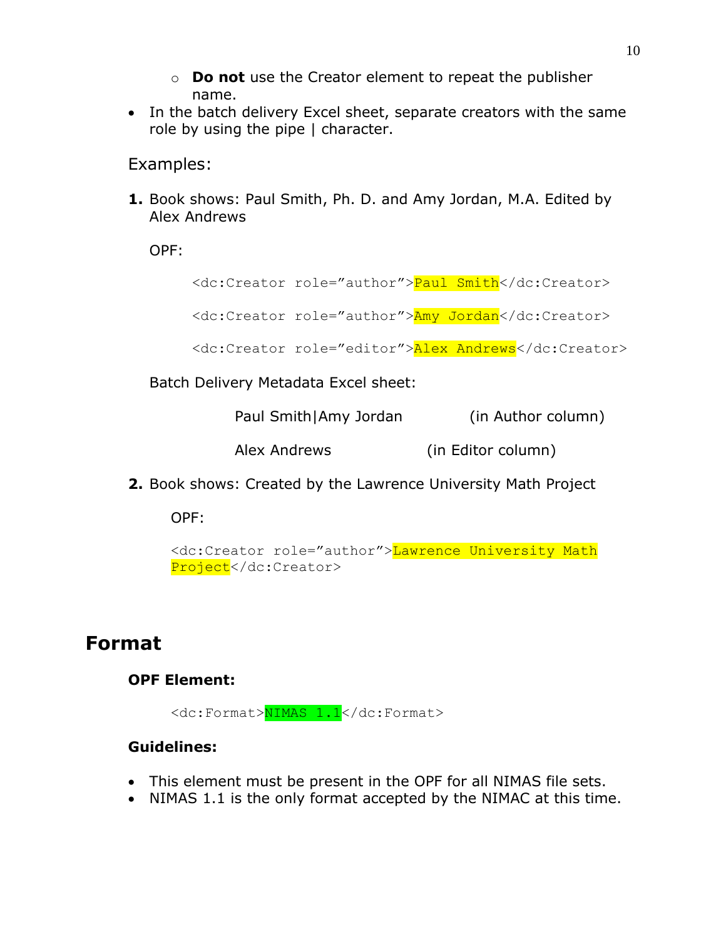- o **Do not** use the Creator element to repeat the publisher name.
- In the batch delivery Excel sheet, separate creators with the same role by using the pipe | character.

Examples:

**1.** Book shows: Paul Smith, Ph. D. and Amy Jordan, M.A. Edited by Alex Andrews

OPF:

<dc:Creator role="author">Paul Smith</dc:Creator>

<dc:Creator role="author">Amy Jordan</dc:Creator>

```
<dc:Creator role="editor">Alex Andrews</dc:Creator>
```
Batch Delivery Metadata Excel sheet:

| Paul Smith Amy Jordan | (in Author column) |
|-----------------------|--------------------|
|-----------------------|--------------------|

Alex Andrews (in Editor column)

**2.** Book shows: Created by the Lawrence University Math Project

OPF:

```
<dc:Creator role="author">Lawrence University Math 
Project</dc:Creator>
```
### <span id="page-9-0"></span>**Format**

#### **OPF Element:**

<dc:Format>NIMAS 1.1</dc:Format>

- This element must be present in the OPF for all NIMAS file sets.
- NIMAS 1.1 is the only format accepted by the NIMAC at this time.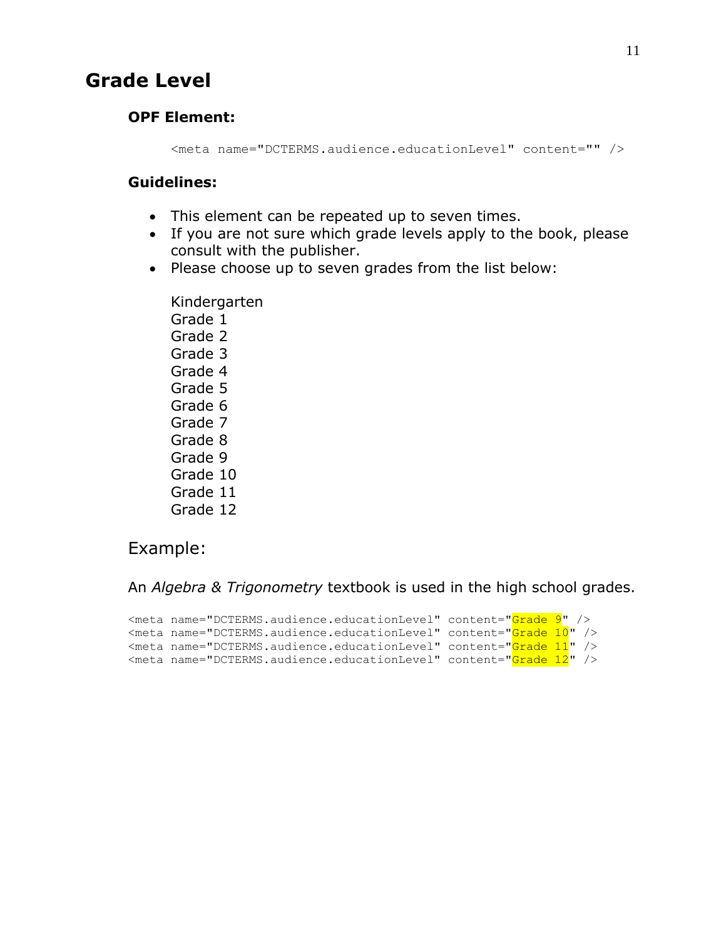### <span id="page-10-0"></span>**Grade Level**

#### **OPF Element:**

<meta name="DCTERMS.audience.educationLevel" content="" />

#### **Guidelines:**

- This element can be repeated up to seven times.
- If you are not sure which grade levels apply to the book, please consult with the publisher.
- Please choose up to seven grades from the list below:

Kindergarten Grade 1 Grade 2 Grade 3 Grade 4 Grade 5 Grade 6 Grade 7 Grade 8 Grade 9 Grade 10 Grade 11 Grade 12

#### Example:

An *Algebra & Trigonometry* textbook is used in the high school grades.

```
<meta name="DCTERMS.audience.educationLevel" content="Grade 9" />
<meta name="DCTERMS.audience.educationLevel" content="Grade 10" />
<meta name="DCTERMS.audience.educationLevel" content="Grade 11" />
<meta name="DCTERMS.audience.educationLevel" content="Grade 12" />
```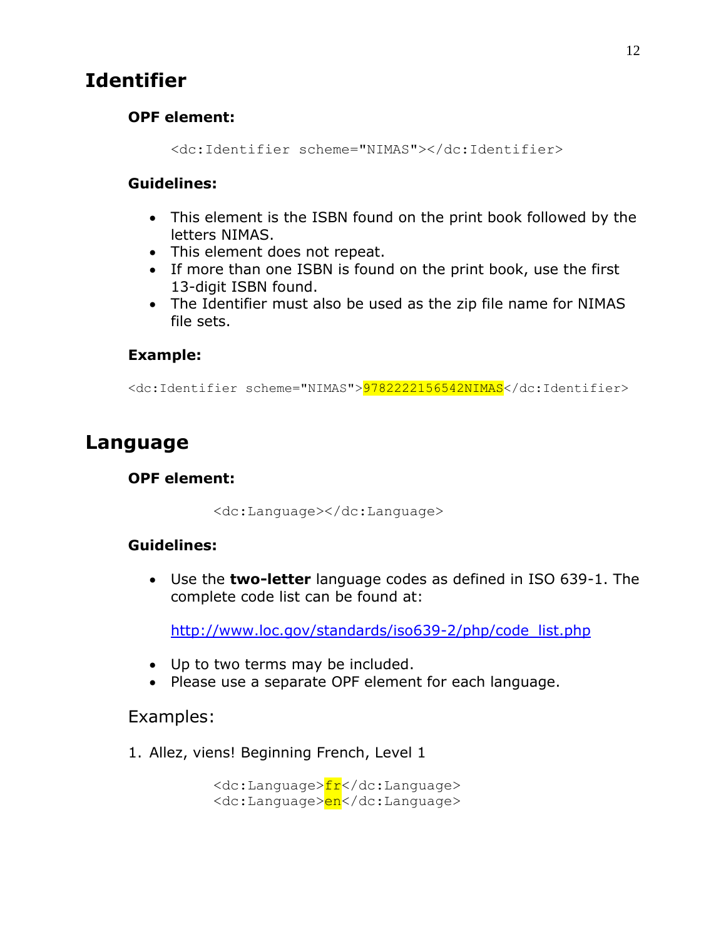# <span id="page-11-0"></span>**Identifier**

#### **OPF element:**

<dc:Identifier scheme="NIMAS"></dc:Identifier>

#### **Guidelines:**

- This element is the ISBN found on the print book followed by the letters NIMAS.
- This element does not repeat.
- If more than one ISBN is found on the print book, use the first 13-digit ISBN found.
- The Identifier must also be used as the zip file name for NIMAS file sets.

#### **Example:**

<dc:Identifier scheme="NIMAS">9782222156542NIMAS</dc:Identifier>

# <span id="page-11-1"></span>**Language**

#### **OPF element:**

<dc:Language></dc:Language>

#### **Guidelines:**

 Use the **two-letter** language codes as defined in ISO 639-1. The complete code list can be found at:

[http://www.loc.gov/standards/iso639-2/php/code\\_list.php](http://www.loc.gov/standards/iso639-2/php/code_list.php)

- Up to two terms may be included.
- Please use a separate OPF element for each language.

#### Examples:

1. Allez, viens! Beginning French, Level 1

<dc:Language>fr</dc:Language> <dc:Language>en</dc:Language>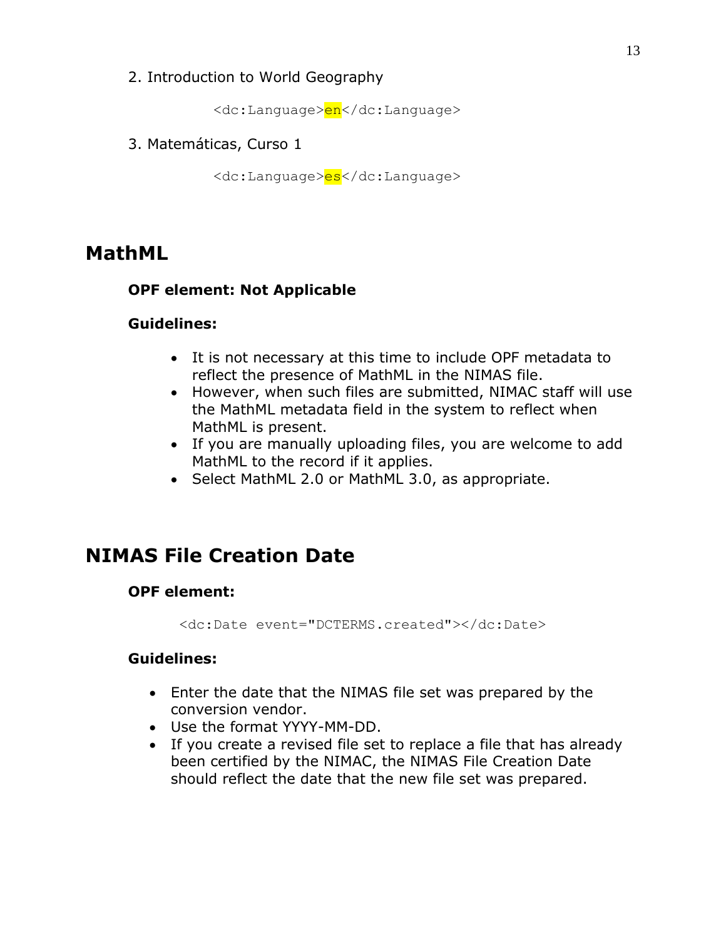2. Introduction to World Geography

<dc:Language>en</dc:Language>

3. Matemáticas, Curso 1

<dc:Language>es</dc:Language>

### <span id="page-12-0"></span>**MathML**

#### **OPF element: Not Applicable**

#### **Guidelines:**

- It is not necessary at this time to include OPF metadata to reflect the presence of MathML in the NIMAS file.
- However, when such files are submitted, NIMAC staff will use the MathML metadata field in the system to reflect when MathML is present.
- If you are manually uploading files, you are welcome to add MathML to the record if it applies.
- Select MathML 2.0 or MathML 3.0, as appropriate.

# <span id="page-12-1"></span>**NIMAS File Creation Date**

#### **OPF element:**

<dc:Date event="DCTERMS.created"></dc:Date>

- Enter the date that the NIMAS file set was prepared by the conversion vendor.
- Use the format YYYY-MM-DD.
- If you create a revised file set to replace a file that has already been certified by the NIMAC, the NIMAS File Creation Date should reflect the date that the new file set was prepared.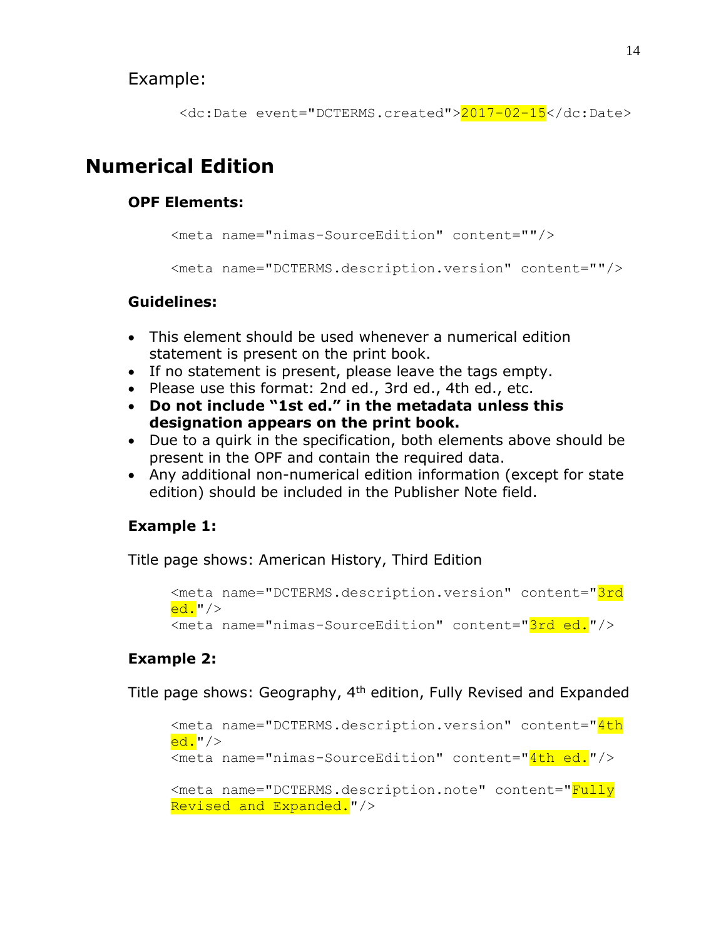#### Example:

```
 <dc:Date event="DCTERMS.created">2017-02-15</dc:Date>
```
# <span id="page-13-0"></span>**Numerical Edition**

#### **OPF Elements:**

```
<meta name="nimas-SourceEdition" content=""/>
<meta name="DCTERMS.description.version" content=""/>
```
#### **Guidelines:**

- This element should be used whenever a numerical edition statement is present on the print book.
- If no statement is present, please leave the tags empty.
- Please use this format: 2nd ed., 3rd ed., 4th ed., etc.
- **Do not include "1st ed." in the metadata unless this designation appears on the print book.**
- Due to a quirk in the specification, both elements above should be present in the OPF and contain the required data.
- Any additional non-numerical edition information (except for state edition) should be included in the Publisher Note field.

### **Example 1:**

Title page shows: American History, Third Edition

```
<meta name="DCTERMS.description.version" content="3rd
ed.''/><meta name="nimas-SourceEdition" content="3rd ed."/>
```
### **Example 2:**

Title page shows: Geography, 4<sup>th</sup> edition, Fully Revised and Expanded

```
<meta name="DCTERMS.description.version" content="4th
ed.'<meta name="nimas-SourceEdition" content="4th ed."/>
<meta name="DCTERMS.description.note" content="Fully 
Revised and Expanded."/>
```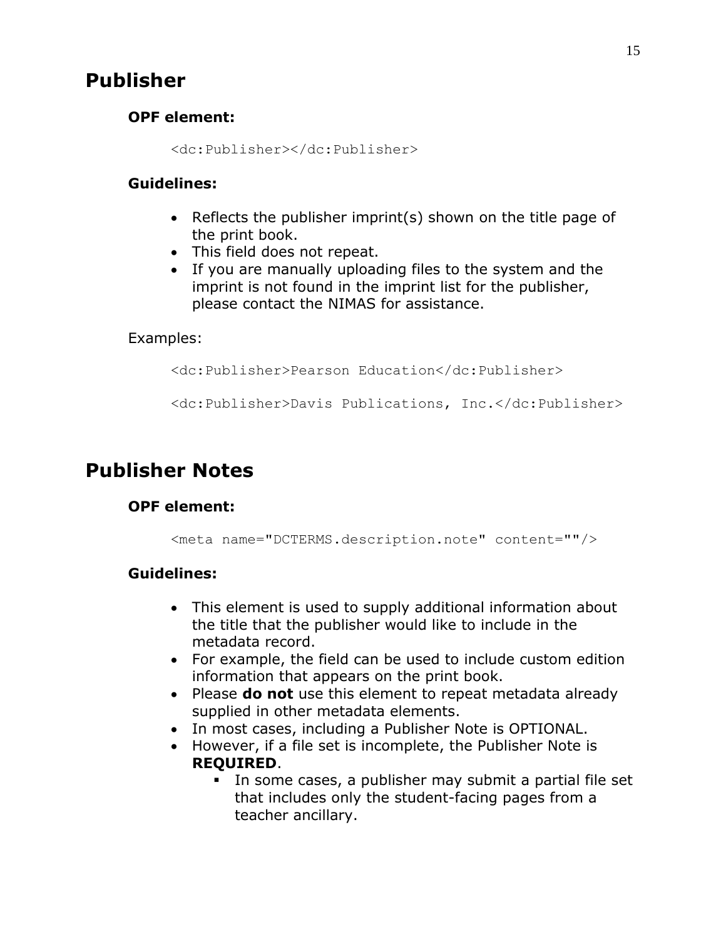### <span id="page-14-0"></span>**Publisher**

#### **OPF element:**

<dc:Publisher></dc:Publisher>

#### **Guidelines:**

- Reflects the publisher imprint(s) shown on the title page of the print book.
- This field does not repeat.
- If you are manually uploading files to the system and the imprint is not found in the imprint list for the publisher, please contact the NIMAS for assistance.

#### Examples:

<dc:Publisher>Pearson Education</dc:Publisher>

<dc:Publisher>Davis Publications, Inc.</dc:Publisher>

# <span id="page-14-1"></span>**Publisher Notes**

#### **OPF element:**

<meta name="DCTERMS.description.note" content=""/>

- This element is used to supply additional information about the title that the publisher would like to include in the metadata record.
- For example, the field can be used to include custom edition information that appears on the print book.
- Please **do not** use this element to repeat metadata already supplied in other metadata elements.
- In most cases, including a Publisher Note is OPTIONAL.
- However, if a file set is incomplete, the Publisher Note is **REQUIRED**.
	- In some cases, a publisher may submit a partial file set that includes only the student-facing pages from a teacher ancillary.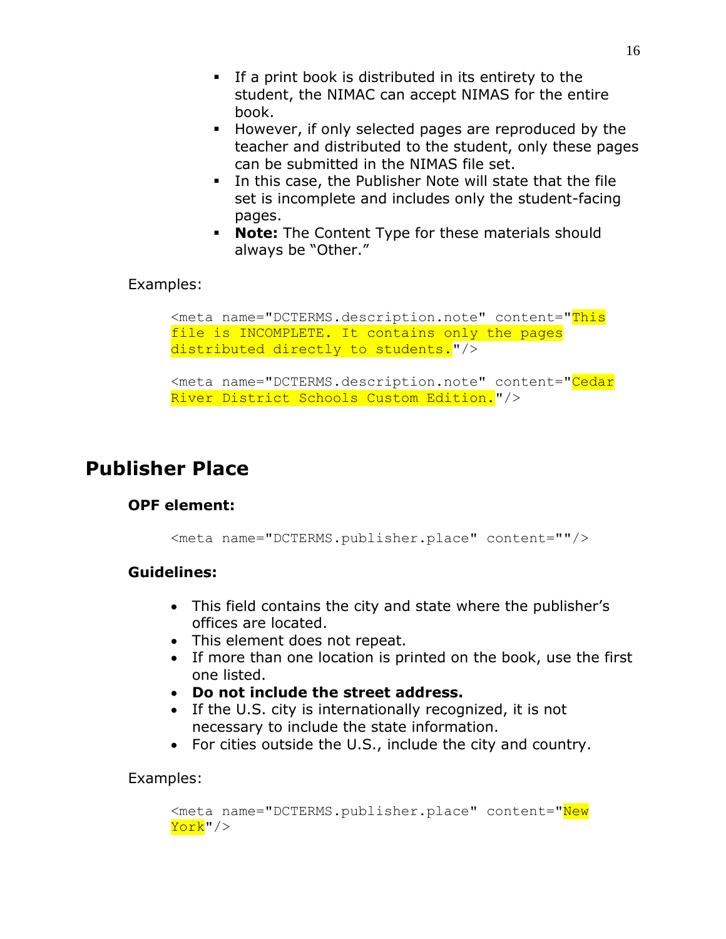- If a print book is distributed in its entirety to the student, the NIMAC can accept NIMAS for the entire book.
- However, if only selected pages are reproduced by the teacher and distributed to the student, only these pages can be submitted in the NIMAS file set.
- In this case, the Publisher Note will state that the file set is incomplete and includes only the student-facing pages.
- **Note:** The Content Type for these materials should always be "Other."

#### Examples:

```
<meta name="DCTERMS.description.note" content="This
file is INCOMPLETE. It contains only the pages
distributed directly to students."/>
```

```
<meta name="DCTERMS.description.note" content="Cedar
River District Schools Custom Edition."/>
```
### <span id="page-15-0"></span>**Publisher Place**

#### **OPF element:**

```
<meta name="DCTERMS.publisher.place" content=""/>
```
#### **Guidelines:**

- This field contains the city and state where the publisher's offices are located.
- This element does not repeat.
- If more than one location is printed on the book, use the first one listed.
- **Do not include the street address.**
- If the U.S. city is internationally recognized, it is not necessary to include the state information.
- For cities outside the U.S., include the city and country.

#### Examples:

```
<meta name="DCTERMS.publisher.place" content="New
York"/>
```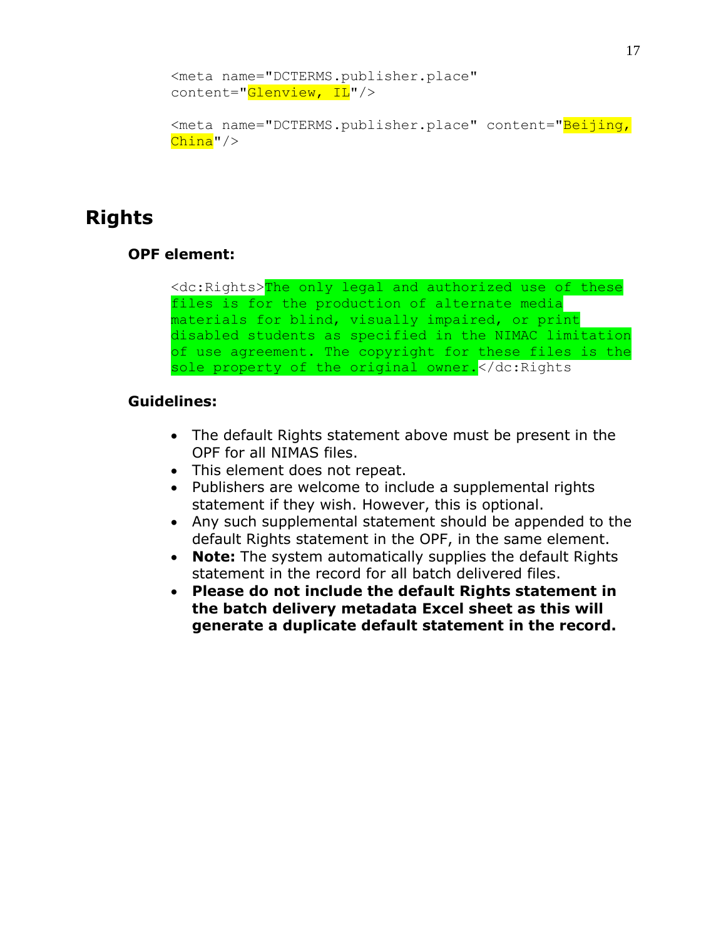```
<meta name="DCTERMS.publisher.place" 
content="Glenview, IL"/>
```

```
<meta name="DCTERMS.publisher.place" content="Beijing,
China" />
```
# <span id="page-16-0"></span>**Rights**

#### **OPF element:**

```
<dc:Rights>The only legal and authorized use of these 
files is for the production of alternate media 
materials for blind, visually impaired, or print 
disabled students as specified in the NIMAC limitation 
of use agreement. The copyright for these files is the 
sole property of the original owner. </dc:Rights
```
- The default Rights statement above must be present in the OPF for all NIMAS files.
- This element does not repeat.
- Publishers are welcome to include a supplemental rights statement if they wish. However, this is optional.
- Any such supplemental statement should be appended to the default Rights statement in the OPF, in the same element.
- **Note:** The system automatically supplies the default Rights statement in the record for all batch delivered files.
- **Please do not include the default Rights statement in the batch delivery metadata Excel sheet as this will generate a duplicate default statement in the record.**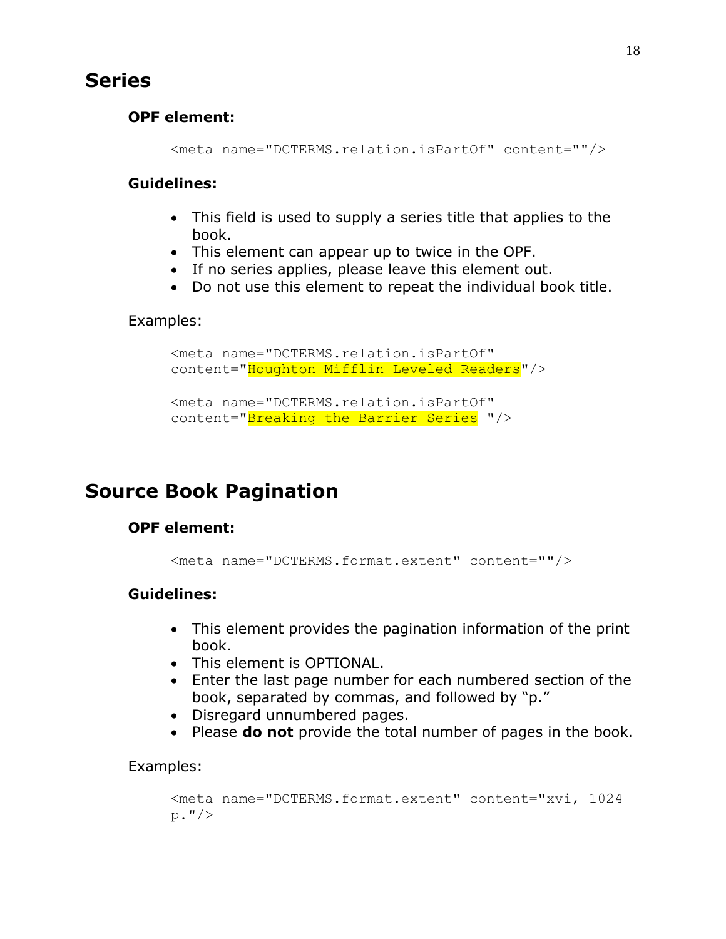### <span id="page-17-0"></span>**Series**

#### **OPF element:**

<meta name="DCTERMS.relation.isPartOf" content=""/>

#### **Guidelines:**

- This field is used to supply a series title that applies to the book.
- This element can appear up to twice in the OPF.
- If no series applies, please leave this element out.
- Do not use this element to repeat the individual book title.

#### Examples:

```
<meta name="DCTERMS.relation.isPartOf" 
content="Houghton Mifflin Leveled Readers"/>
<meta name="DCTERMS.relation.isPartOf"
content="Breaking the Barrier Series "/>
```
# <span id="page-17-1"></span>**Source Book Pagination**

#### **OPF element:**

```
<meta name="DCTERMS.format.extent" content=""/>
```
#### **Guidelines:**

- This element provides the pagination information of the print book.
- This element is OPTIONAL.
- Enter the last page number for each numbered section of the book, separated by commas, and followed by "p."
- Disregard unnumbered pages.
- Please **do not** provide the total number of pages in the book.

#### Examples:

```
<meta name="DCTERMS.format.extent" content="xvi, 1024 
p."/>
```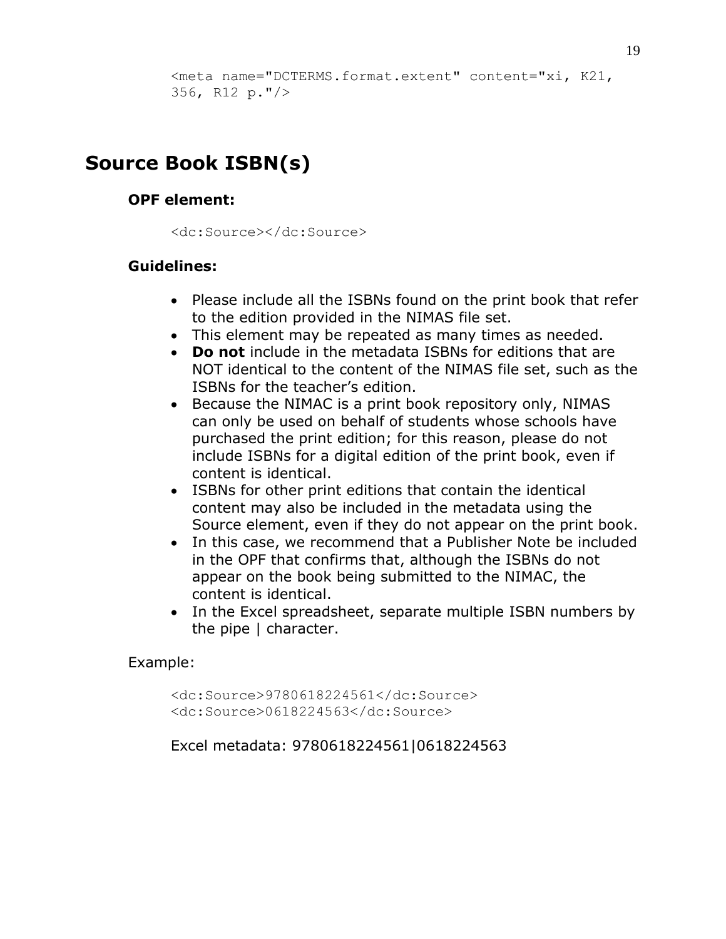```
<meta name="DCTERMS.format.extent" content="xi, K21, 
356, R12 p."/>
```
# <span id="page-18-0"></span>**Source Book ISBN(s)**

#### **OPF element:**

<dc:Source></dc:Source>

#### **Guidelines:**

- Please include all the ISBNs found on the print book that refer to the edition provided in the NIMAS file set.
- This element may be repeated as many times as needed.
- **Do not** include in the metadata ISBNs for editions that are NOT identical to the content of the NIMAS file set, such as the ISBNs for the teacher's edition.
- Because the NIMAC is a print book repository only, NIMAS can only be used on behalf of students whose schools have purchased the print edition; for this reason, please do not include ISBNs for a digital edition of the print book, even if content is identical.
- ISBNs for other print editions that contain the identical content may also be included in the metadata using the Source element, even if they do not appear on the print book.
- In this case, we recommend that a Publisher Note be included in the OPF that confirms that, although the ISBNs do not appear on the book being submitted to the NIMAC, the content is identical.
- In the Excel spreadsheet, separate multiple ISBN numbers by the pipe | character.

#### Example:

<dc:Source>9780618224561</dc:Source> <dc:Source>0618224563</dc:Source>

Excel metadata: 9780618224561|0618224563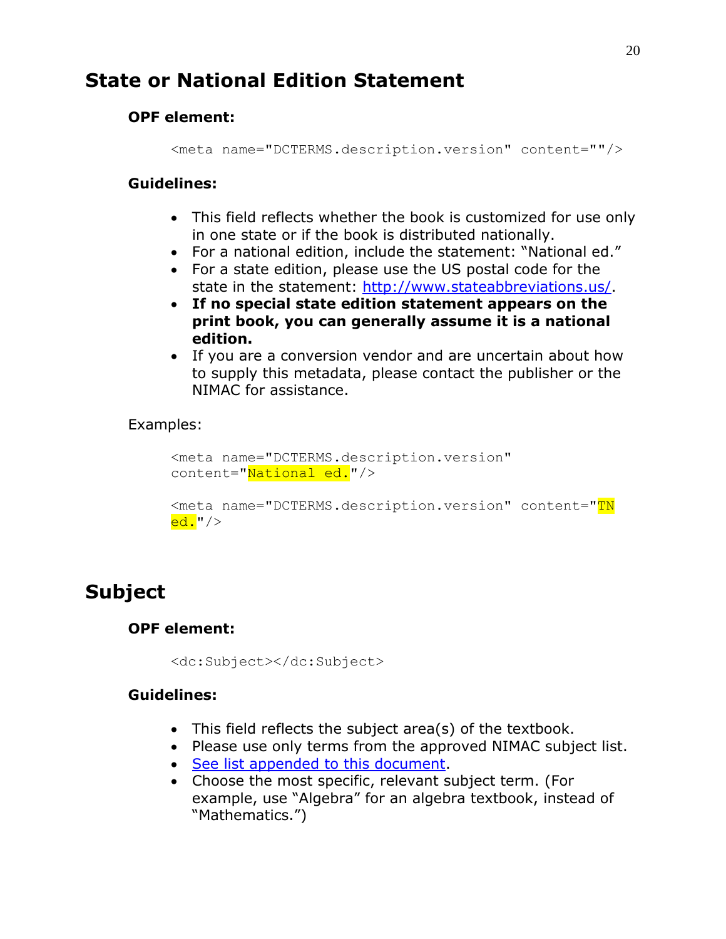# <span id="page-19-0"></span>**State or National Edition Statement**

#### **OPF element:**

<meta name="DCTERMS.description.version" content=""/>

#### **Guidelines:**

- This field reflects whether the book is customized for use only in one state or if the book is distributed nationally.
- For a national edition, include the statement: "National ed."
- For a state edition, please use the US postal code for the state in the statement: [http://www.stateabbreviations.us/.](http://www.stateabbreviations.us/)
- **If no special state edition statement appears on the print book, you can generally assume it is a national edition.**
- If you are a conversion vendor and are uncertain about how to supply this metadata, please contact the publisher or the NIMAC for assistance.

#### Examples:

```
<meta name="DCTERMS.description.version" 
content="National ed."/>
```

```
<meta name="DCTERMS.description.version" content="TN
ed."/>
```
# <span id="page-19-1"></span>**Subject**

#### **OPF element:**

```
<dc:Subject></dc:Subject>
```
- This field reflects the subject area(s) of the textbook.
- Please use only terms from the approved NIMAC subject list.
- [See list appended to this document.](#page-23-1)
- Choose the most specific, relevant subject term. (For example, use "Algebra" for an algebra textbook, instead of "Mathematics.")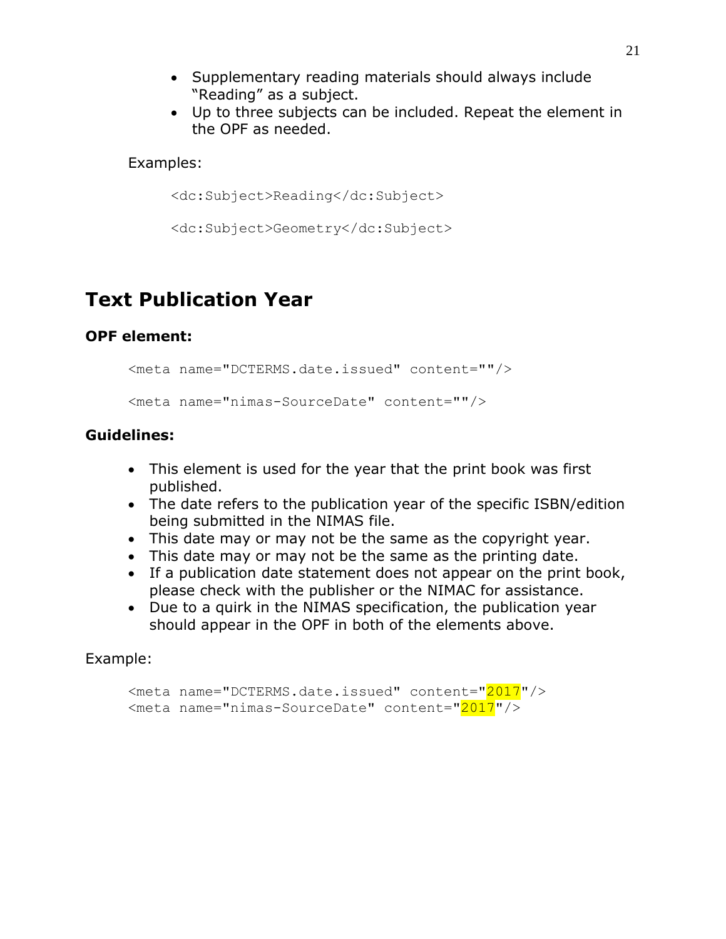- Supplementary reading materials should always include "Reading" as a subject.
- Up to three subjects can be included. Repeat the element in the OPF as needed.

#### Examples:

<dc:Subject>Reading</dc:Subject>

<dc:Subject>Geometry</dc:Subject>

# <span id="page-20-0"></span>**Text Publication Year**

#### **OPF element:**

```
<meta name="DCTERMS.date.issued" content=""/>
```
<meta name="nimas-SourceDate" content=""/>

#### **Guidelines:**

- This element is used for the year that the print book was first published.
- The date refers to the publication year of the specific ISBN/edition being submitted in the NIMAS file.
- This date may or may not be the same as the copyright year.
- This date may or may not be the same as the printing date.
- If a publication date statement does not appear on the print book, please check with the publisher or the NIMAC for assistance.
- Due to a quirk in the NIMAS specification, the publication year should appear in the OPF in both of the elements above.

#### Example:

```
<meta name="DCTERMS.date.issued" content="2017"/>
<meta name="nimas-SourceDate" content="2017"/>
```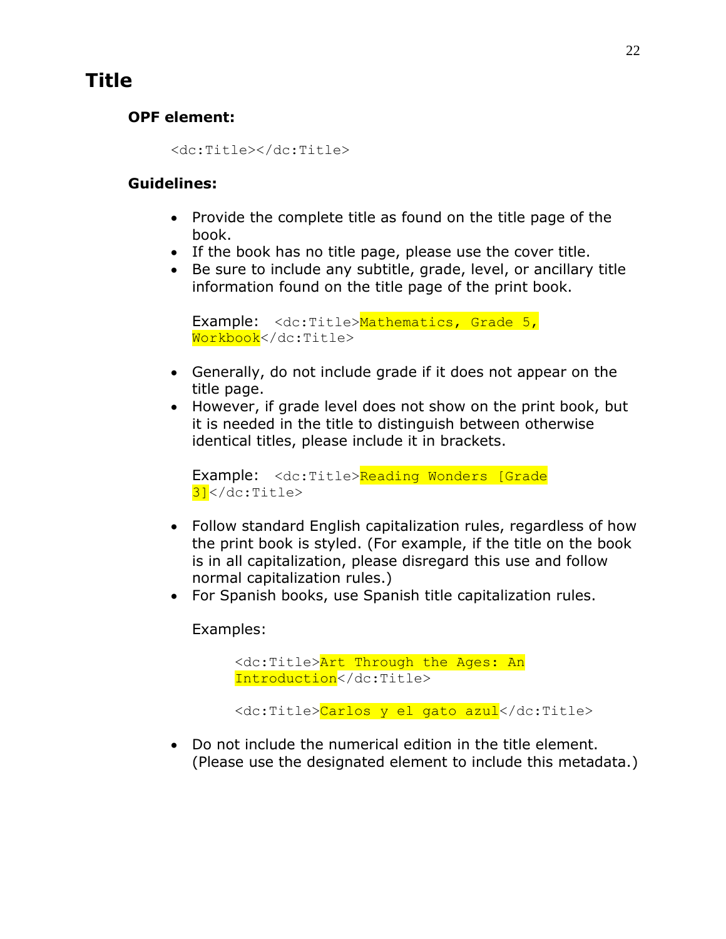# <span id="page-21-0"></span>**Title**

### **OPF element:**

<dc:Title></dc:Title>

#### **Guidelines:**

- Provide the complete title as found on the title page of the book.
- If the book has no title page, please use the cover title.
- Be sure to include any subtitle, grade, level, or ancillary title information found on the title page of the print book.

```
Example: <dc:Title>Mathematics, Grade 5,
Workbook</dc:Title>
```
- Generally, do not include grade if it does not appear on the title page.
- However, if grade level does not show on the print book, but it is needed in the title to distinguish between otherwise identical titles, please include it in brackets.

```
Example: <dc:Title>Reading Wonders [Grade
3]</dc:Title>
```
- Follow standard English capitalization rules, regardless of how the print book is styled. (For example, if the title on the book is in all capitalization, please disregard this use and follow normal capitalization rules.)
- For Spanish books, use Spanish title capitalization rules.

Examples:

```
<dc:Title>Art Through the Ages: An 
Introduction</dc:Title>
```

```
<dc:Title>Carlos y el gato azul</dc:Title>
```
 Do not include the numerical edition in the title element. (Please use the designated element to include this metadata.)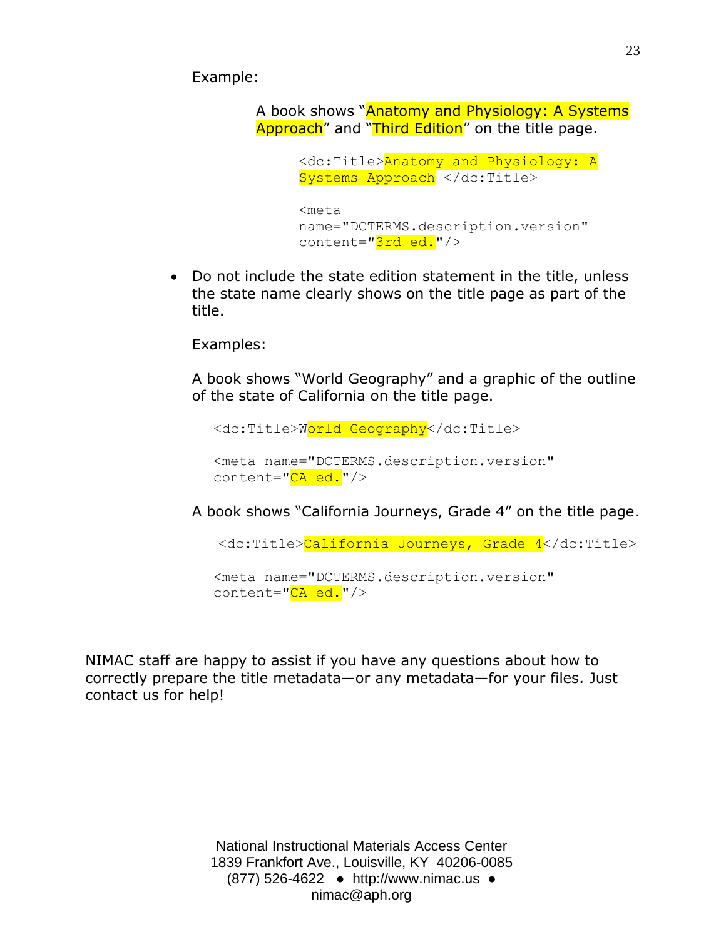Example:

A book shows "Anatomy and Physiology: A Systems Approach" and "Third Edition" on the title page.

```
<dc:Title>Anatomy and Physiology: A 
Systems Approach </dc:Title>
<meta 
name="DCTERMS.description.version" 
content="3rd ed."/>
```
 Do not include the state edition statement in the title, unless the state name clearly shows on the title page as part of the title.

Examples:

A book shows "World Geography" and a graphic of the outline of the state of California on the title page.

<dc:Title>World Geography</dc:Title>

<meta name="DCTERMS.description.version" content="CA ed."/>

A book shows "California Journeys, Grade 4" on the title page.

<dc:Title>California Journeys, Grade 4</dc:Title>

<meta name="DCTERMS.description.version" content="CA ed."/>

NIMAC staff are happy to assist if you have any questions about how to correctly prepare the title metadata—or any metadata—for your files. Just contact us for help!

> National Instructional Materials Access Center 1839 Frankfort Ave., Louisville, KY 40206-0085 (877) 526-4[622 ● http://www](http://www.nimac.us/).nimac.[us ●](mailto:NIMAC@aph.org)  nimac@aph.org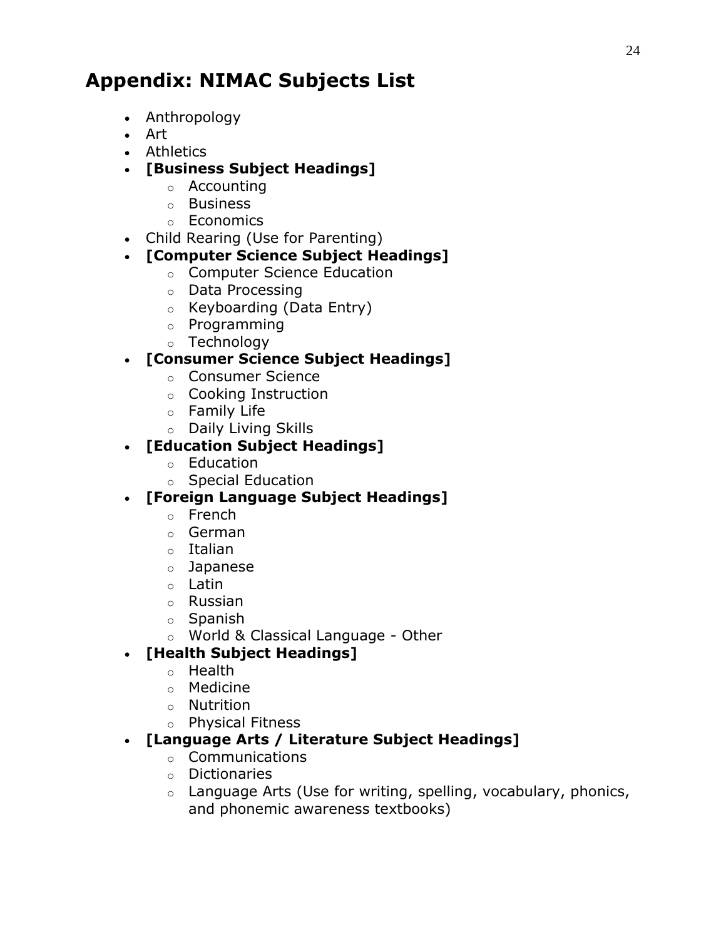# <span id="page-23-1"></span><span id="page-23-0"></span>**Appendix: NIMAC Subjects List**

- Anthropology
- Art
- Athletics
- **[Business Subject Headings]**
	- o Accounting
	- o Business
	- o Economics
- Child Rearing (Use for Parenting)

### **[Computer Science Subject Headings]**

- o Computer Science Education
- o Data Processing
- o Keyboarding (Data Entry)
- o Programming
- o Technology

### **[Consumer Science Subject Headings]**

- o Consumer Science
- o Cooking Instruction
- o Family Life
- o Daily Living Skills

### **[Education Subject Headings]**

- o Education
- o Special Education

### **[Foreign Language Subject Headings]**

- o French
- o German
- o Italian
- o Japanese
- o Latin
- o Russian
- o Spanish
- o World & Classical Language Other

### **[Health Subject Headings]**

- o Health
- o Medicine
- o Nutrition
- o Physical Fitness

### **[Language Arts / Literature Subject Headings]**

- o Communications
- o Dictionaries
- $\circ$  Language Arts (Use for writing, spelling, vocabulary, phonics, and phonemic awareness textbooks)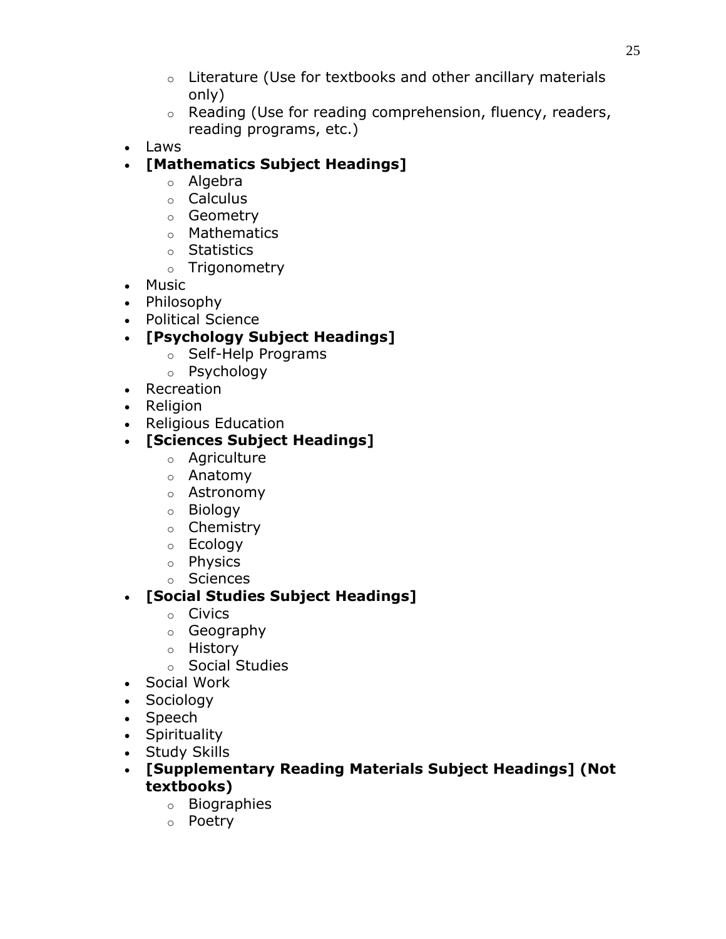- $\circ$  Literature (Use for textbooks and other ancillary materials only)
- $\circ$  Reading (Use for reading comprehension, fluency, readers, reading programs, etc.)
- Laws
- **[Mathematics Subject Headings]**
	- o Algebra
	- o Calculus
	- o Geometry
	- o Mathematics
	- o Statistics
	- o Trigonometry
- Music
- Philosophy
- Political Science
- **[Psychology Subject Headings]**
	- o Self-Help Programs
	- o Psychology
- Recreation
- Religion
- Religious Education
- **[Sciences Subject Headings]**
	- o Agriculture
	- o Anatomy
	- o Astronomy
	- o Biology
	- o Chemistry
	- o Ecology
	- o Physics
	- o Sciences

### **[Social Studies Subject Headings]**

- o Civics
- o Geography
- o History
- o Social Studies
- Social Work
- Sociology
- Speech
- Spirituality
- Study Skills
- **[Supplementary Reading Materials Subject Headings] (Not textbooks)**
	- o Biographies
	- o Poetry